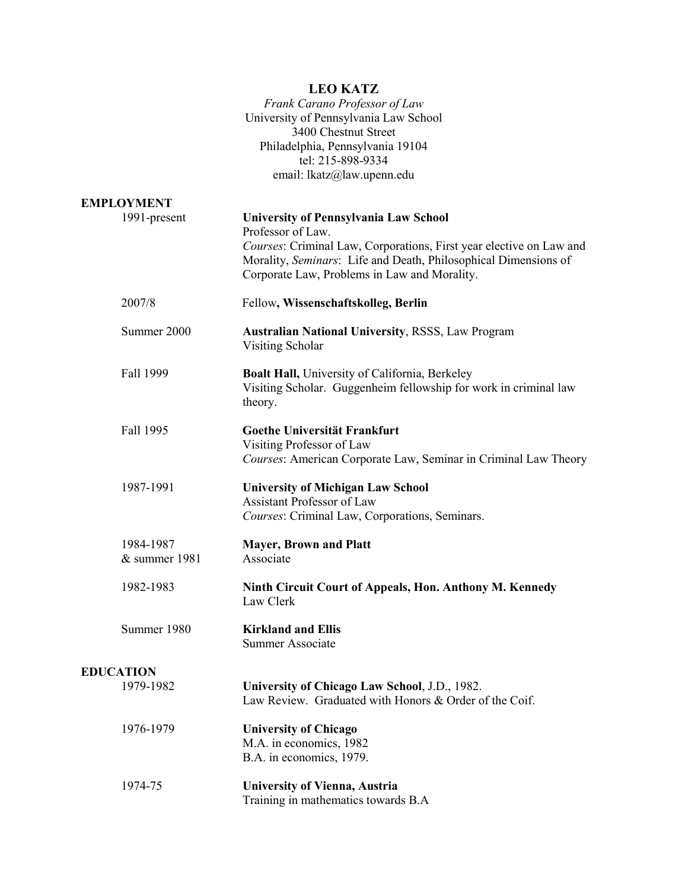|                            | <b>LEO KATZ</b><br>Frank Carano Professor of Law<br>University of Pennsylvania Law School<br>3400 Chestnut Street<br>Philadelphia, Pennsylvania 19104<br>tel: 215-898-9334<br>email: lkatz@law.upenn.edu                                                    |
|----------------------------|-------------------------------------------------------------------------------------------------------------------------------------------------------------------------------------------------------------------------------------------------------------|
| <b>EMPLOYMENT</b>          |                                                                                                                                                                                                                                                             |
| 1991-present               | <b>University of Pennsylvania Law School</b><br>Professor of Law.<br>Courses: Criminal Law, Corporations, First year elective on Law and<br>Morality, Seminars: Life and Death, Philosophical Dimensions of<br>Corporate Law, Problems in Law and Morality. |
| 2007/8                     | Fellow, Wissenschaftskolleg, Berlin                                                                                                                                                                                                                         |
| Summer 2000                | <b>Australian National University, RSSS, Law Program</b><br>Visiting Scholar                                                                                                                                                                                |
| Fall 1999                  | <b>Boalt Hall, University of California, Berkeley</b><br>Visiting Scholar. Guggenheim fellowship for work in criminal law<br>theory.                                                                                                                        |
| Fall 1995                  | Goethe Universität Frankfurt<br>Visiting Professor of Law<br>Courses: American Corporate Law, Seminar in Criminal Law Theory                                                                                                                                |
| 1987-1991                  | <b>University of Michigan Law School</b><br>Assistant Professor of Law<br>Courses: Criminal Law, Corporations, Seminars.                                                                                                                                    |
| 1984-1987<br>& summer 1981 | <b>Mayer, Brown and Platt</b><br>Associate                                                                                                                                                                                                                  |
| 1982-1983                  | Ninth Circuit Court of Appeals, Hon. Anthony M. Kennedy<br>Law Clerk                                                                                                                                                                                        |
| Summer 1980                | <b>Kirkland and Ellis</b><br><b>Summer Associate</b>                                                                                                                                                                                                        |
| <b>EDUCATION</b>           |                                                                                                                                                                                                                                                             |
| 1979-1982                  | University of Chicago Law School, J.D., 1982.<br>Law Review. Graduated with Honors & Order of the Coif.                                                                                                                                                     |
| 1976-1979                  | <b>University of Chicago</b><br>M.A. in economics, 1982<br>B.A. in economics, 1979.                                                                                                                                                                         |
| 1974-75                    | <b>University of Vienna, Austria</b><br>Training in mathematics towards B.A                                                                                                                                                                                 |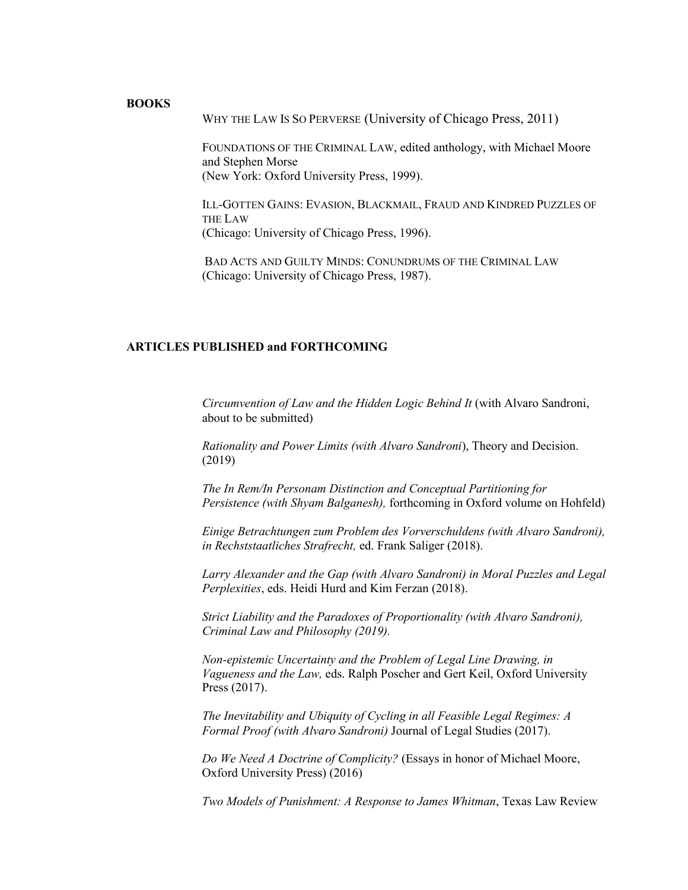## **BOOKS**

WHY THE LAW IS SO PERVERSE (University of Chicago Press, 2011)

FOUNDATIONS OF THE CRIMINAL LAW, edited anthology, with Michael Moore and Stephen Morse (New York: Oxford University Press, 1999).

ILL-GOTTEN GAINS: EVASION, BLACKMAIL, FRAUD AND KINDRED PUZZLES OF THE LAW (Chicago: University of Chicago Press, 1996).

BAD ACTS AND GUILTY MINDS: CONUNDRUMS OF THE CRIMINAL LAW (Chicago: University of Chicago Press, 1987).

## **ARTICLES PUBLISHED and FORTHCOMING**

*Circumvention of Law and the Hidden Logic Behind It* (with Alvaro Sandroni, about to be submitted)

*Rationality and Power Limits (with Alvaro Sandroni*), Theory and Decision. (2019)

*The In Rem/In Personam Distinction and Conceptual Partitioning for Persistence (with Shyam Balganesh),* forthcoming in Oxford volume on Hohfeld)

*Einige Betrachtungen zum Problem des Vorverschuldens (with Alvaro Sandroni), in Rechststaatliches Strafrecht,* ed. Frank Saliger (2018).

*Larry Alexander and the Gap (with Alvaro Sandroni) in Moral Puzzles and Legal Perplexities*, eds. Heidi Hurd and Kim Ferzan (2018).

*Strict Liability and the Paradoxes of Proportionality (with Alvaro Sandroni), Criminal Law and Philosophy (2019).*

*Non-epistemic Uncertainty and the Problem of Legal Line Drawing, in Vagueness and the Law,* eds. Ralph Poscher and Gert Keil, Oxford University Press (2017).

*The Inevitability and Ubiquity of Cycling in all Feasible Legal Regimes: A Formal Proof (with Alvaro Sandroni)* Journal of Legal Studies (2017).

*Do We Need A Doctrine of Complicity?* (Essays in honor of Michael Moore, Oxford University Press) (2016)

*Two Models of Punishment: A Response to James Whitman*, Texas Law Review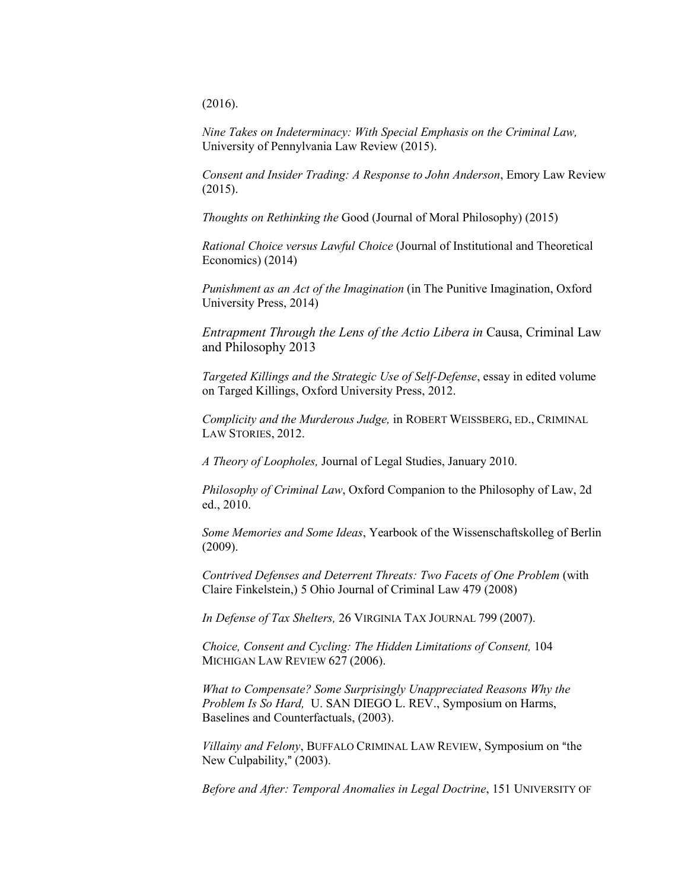(2016).

*Nine Takes on Indeterminacy: With Special Emphasis on the Criminal Law,*  University of Pennylvania Law Review (2015).

*Consent and Insider Trading: A Response to John Anderson*, Emory Law Review (2015).

*Thoughts on Rethinking the* Good (Journal of Moral Philosophy) (2015)

*Rational Choice versus Lawful Choice* (Journal of Institutional and Theoretical Economics) (2014)

*Punishment as an Act of the Imagination* (in The Punitive Imagination, Oxford University Press, 2014)

*Entrapment Through the Lens of the Actio Libera in* Causa, Criminal Law and Philosophy 2013

*Targeted Killings and the Strategic Use of Self-Defense*, essay in edited volume on Targed Killings, Oxford University Press, 2012.

*Complicity and the Murderous Judge,* in ROBERT WEISSBERG, ED., CRIMINAL LAW STORIES, 2012.

*A Theory of Loopholes,* Journal of Legal Studies, January 2010.

*Philosophy of Criminal Law*, Oxford Companion to the Philosophy of Law, 2d ed., 2010.

*Some Memories and Some Ideas*, Yearbook of the Wissenschaftskolleg of Berlin (2009).

*Contrived Defenses and Deterrent Threats: Two Facets of One Problem* (with Claire Finkelstein,) 5 Ohio Journal of Criminal Law 479 (2008)

*In Defense of Tax Shelters,* 26 VIRGINIA TAX JOURNAL 799 (2007).

*Choice, Consent and Cycling: The Hidden Limitations of Consent,* 104 MICHIGAN LAW REVIEW 627 (2006).

*What to Compensate? Some Surprisingly Unappreciated Reasons Why the Problem Is So Hard,* U. SAN DIEGO L. REV., Symposium on Harms, Baselines and Counterfactuals, (2003).

*Villainy and Felony*, BUFFALO CRIMINAL LAW REVIEW, Symposium on "the New Culpability," (2003).

*Before and After: Temporal Anomalies in Legal Doctrine*, 151 UNIVERSITY OF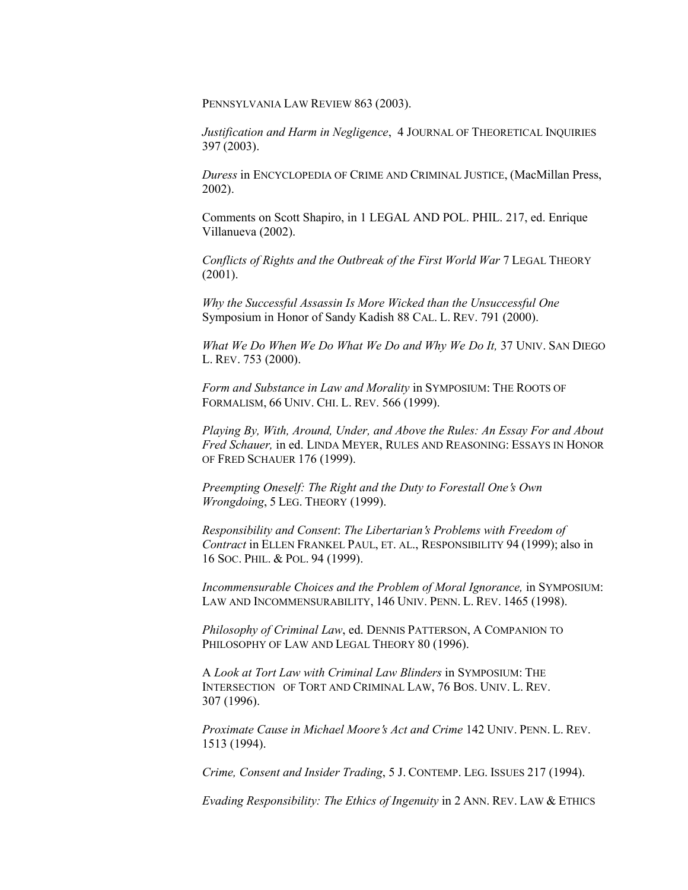PENNSYLVANIA LAW REVIEW 863 (2003).

*Justification and Harm in Negligence*, 4 JOURNAL OF THEORETICAL INQUIRIES 397 (2003).

*Duress* in ENCYCLOPEDIA OF CRIME AND CRIMINAL JUSTICE, (MacMillan Press, 2002).

Comments on Scott Shapiro, in 1 LEGAL AND POL. PHIL. 217, ed. Enrique Villanueva (2002).

*Conflicts of Rights and the Outbreak of the First World War* 7 LEGAL THEORY (2001).

*Why the Successful Assassin Is More Wicked than the Unsuccessful One* Symposium in Honor of Sandy Kadish 88 CAL. L. REV. 791 (2000).

*What We Do When We Do What We Do and Why We Do It,* 37 UNIV. SAN DIEGO L. REV. 753 (2000).

*Form and Substance in Law and Morality* in SYMPOSIUM: THE ROOTS OF FORMALISM, 66 UNIV. CHI. L. REV. 566 (1999).

*Playing By, With, Around, Under, and Above the Rules: An Essay For and About Fred Schauer,* in ed. LINDA MEYER, RULES AND REASONING: ESSAYS IN HONOR OF FRED SCHAUER 176 (1999).

*Preempting Oneself: The Right and the Duty to Forestall One's Own Wrongdoing*, 5 LEG. THEORY (1999).

*Responsibility and Consent*: *The Libertarian*=*s Problems with Freedom of Contract* in ELLEN FRANKEL PAUL, ET. AL., RESPONSIBILITY 94 (1999); also in 16 SOC. PHIL. & POL. 94 (1999).

*Incommensurable Choices and the Problem of Moral Ignorance,* in SYMPOSIUM: LAW AND INCOMMENSURABILITY, 146 UNIV. PENN. L. REV. 1465 (1998).

*Philosophy of Criminal Law*, ed. DENNIS PATTERSON, A COMPANION TO PHILOSOPHY OF LAW AND LEGAL THEORY 80 (1996).

A *Look at Tort Law with Criminal Law Blinders* in SYMPOSIUM: THE INTERSECTION OF TORT AND CRIMINAL LAW, 76 BOS. UNIV. L. REV. 307 (1996).

*Proximate Cause in Michael Moore's Act and Crime 142 UNIV. PENN. L. REV.* 1513 (1994).

*Crime, Consent and Insider Trading*, 5 J. CONTEMP. LEG. ISSUES 217 (1994).

*Evading Responsibility: The Ethics of Ingenuity* in 2 ANN. REV. LAW & ETHICS